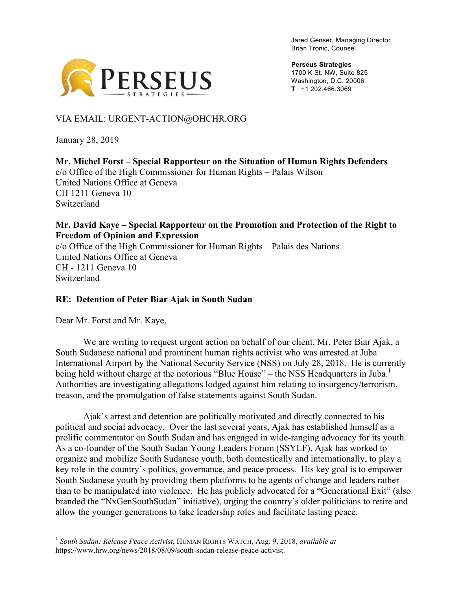Jared Genser, Managing Director Brian Tronic, Counsel



**Perseus Strategies** 1700 K St. NW, Suite 825 Washington, D.C. 20006 **T** +1 202.466.3069

## VIA EMAIL: URGENT-ACTION@OHCHR.ORG

January 28, 2019

#### **Mr. Michel Forst – Special Rapporteur on the Situation of Human Rights Defenders** c/o Office of the High Commissioner for Human Rights – Palais Wilson United Nations Office at Geneva CH 1211 Geneva 10 Switzerland

#### **Mr. David Kaye – Special Rapporteur on the Promotion and Protection of the Right to Freedom of Opinion and Expression**

c/o Office of the High Commissioner for Human Rights – Palais des Nations United Nations Office at Geneva CH - 1211 Geneva 10 **Switzerland** 

## **RE: Detention of Peter Biar Ajak in South Sudan**

Dear Mr. Forst and Mr. Kaye,

We are writing to request urgent action on behalf of our client, Mr. Peter Biar Ajak, a South Sudanese national and prominent human rights activist who was arrested at Juba International Airport by the National Security Service (NSS) on July 28, 2018. He is currently being held without charge at the notorious "Blue House" – the NSS Headquarters in Juba.<sup>1</sup> Authorities are investigating allegations lodged against him relating to insurgency/terrorism, treason, and the promulgation of false statements against South Sudan.

Ajak's arrest and detention are politically motivated and directly connected to his political and social advocacy. Over the last several years, Ajak has established himself as a prolific commentator on South Sudan and has engaged in wide-ranging advocacy for its youth. As a co-founder of the South Sudan Young Leaders Forum (SSYLF), Ajak has worked to organize and mobilize South Sudanese youth, both domestically and internationally, to play a key role in the country's politics, governance, and peace process. His key goal is to empower South Sudanese youth by providing them platforms to be agents of change and leaders rather than to be manipulated into violence. He has publicly advocated for a "Generational Exit" (also branded the "NxGenSouthSudan" initiative), urging the country's older politicians to retire and allow the younger generations to take leadership roles and facilitate lasting peace.

 <sup>1</sup> *South Sudan: Release Peace Activist*, HUMAN RIGHTS WATCH, Aug. 9, 2018, *available at*  https://www.hrw.org/news/2018/08/09/south-sudan-release-peace-activist.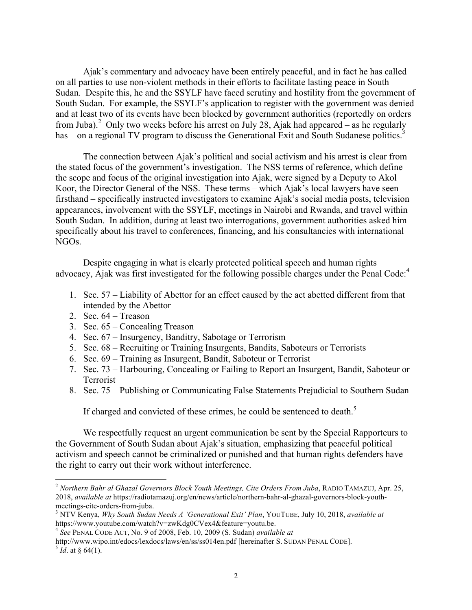Ajak's commentary and advocacy have been entirely peaceful, and in fact he has called on all parties to use non-violent methods in their efforts to facilitate lasting peace in South Sudan. Despite this, he and the SSYLF have faced scrutiny and hostility from the government of South Sudan. For example, the SSYLF's application to register with the government was denied and at least two of its events have been blocked by government authorities (reportedly on orders from Juba).<sup>2</sup> Only two weeks before his arrest on July 28, Ajak had appeared – as he regularly has – on a regional TV program to discuss the Generational Exit and South Sudanese politics.<sup>3</sup>

The connection between Ajak's political and social activism and his arrest is clear from the stated focus of the government's investigation. The NSS terms of reference, which define the scope and focus of the original investigation into Ajak, were signed by a Deputy to Akol Koor, the Director General of the NSS. These terms – which Ajak's local lawyers have seen firsthand – specifically instructed investigators to examine Ajak's social media posts, television appearances, involvement with the SSYLF, meetings in Nairobi and Rwanda, and travel within South Sudan. In addition, during at least two interrogations, government authorities asked him specifically about his travel to conferences, financing, and his consultancies with international NGOs.

Despite engaging in what is clearly protected political speech and human rights advocacy, Ajak was first investigated for the following possible charges under the Penal Code:<sup>4</sup>

- 1. Sec. 57 Liability of Abettor for an effect caused by the act abetted different from that intended by the Abettor
- 2. Sec.  $64 T$ reason
- 3. Sec. 65 Concealing Treason
- 4. Sec. 67 Insurgency, Banditry, Sabotage or Terrorism
- 5. Sec. 68 Recruiting or Training Insurgents, Bandits, Saboteurs or Terrorists
- 6. Sec. 69 Training as Insurgent, Bandit, Saboteur or Terrorist
- 7. Sec. 73 Harbouring, Concealing or Failing to Report an Insurgent, Bandit, Saboteur or Terrorist
- 8. Sec. 75 Publishing or Communicating False Statements Prejudicial to Southern Sudan

If charged and convicted of these crimes, he could be sentenced to death.<sup>5</sup>

We respectfully request an urgent communication be sent by the Special Rapporteurs to the Government of South Sudan about Ajak's situation, emphasizing that peaceful political activism and speech cannot be criminalized or punished and that human rights defenders have the right to carry out their work without interference.

 <sup>2</sup> *Northern Bahr al Ghazal Governors Block Youth Meetings, Cite Orders From Juba*, RADIO TAMAZUJ, Apr. 25, 2018, *available at* https://radiotamazuj.org/en/news/article/northern-bahr-al-ghazal-governors-block-youthmeetings-cite-orders-from-juba.<br><sup>3</sup> NTV Kenya, *Why South Sudan Needs A 'Generational Exit' Plan*, YOUTUBE, July 10, 2018, *available at* 

https://www.youtube.com/watch?v=zwKdg0CVex4&feature=youtu.be.

<sup>4</sup> *See* PENAL CODE ACT, No. 9 of 2008, Feb. 10, 2009 (S. Sudan) *available at* 

http://www.wipo.int/edocs/lexdocs/laws/en/ss/ss014en.pdf [hereinafter S. SUDAN PENAL CODE]. <sup>5</sup> *Id*. at § 64(1).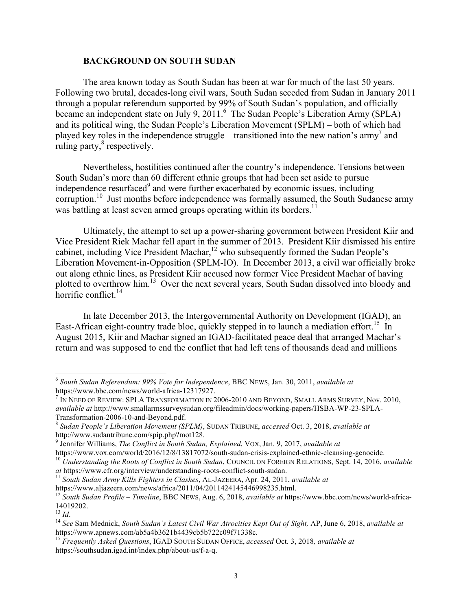#### **BACKGROUND ON SOUTH SUDAN**

The area known today as South Sudan has been at war for much of the last 50 years. Following two brutal, decades-long civil wars, South Sudan seceded from Sudan in January 2011 through a popular referendum supported by 99% of South Sudan's population, and officially became an independent state on July 9, 2011.<sup>6</sup> The Sudan People's Liberation Army (SPLA) and its political wing, the Sudan People's Liberation Movement (SPLM) – both of which had played key roles in the independence struggle – transitioned into the new nation's army<sup>7</sup> and ruling party, $\mathrm{s}$  respectively.

Nevertheless, hostilities continued after the country's independence. Tensions between South Sudan's more than 60 different ethnic groups that had been set aside to pursue independence resurfaced<sup>9</sup> and were further exacerbated by economic issues, including corruption.<sup>10</sup> Just months before independence was formally assumed, the South Sudanese army was battling at least seven armed groups operating within its borders.<sup>11</sup>

Ultimately, the attempt to set up a power-sharing government between President Kiir and Vice President Riek Machar fell apart in the summer of 2013. President Kiir dismissed his entire cabinet, including Vice President Machar, $12$  who subsequently formed the Sudan People's Liberation Movement-in-Opposition (SPLM-IO). In December 2013, a civil war officially broke out along ethnic lines, as President Kiir accused now former Vice President Machar of having plotted to overthrow him.<sup>13</sup> Over the next several years, South Sudan dissolved into bloody and horrific conflict. $^{14}$ 

In late December 2013, the Intergovernmental Authority on Development (IGAD), an East-African eight-country trade bloc, quickly stepped in to launch a mediation effort.<sup>15</sup> In August 2015, Kiir and Machar signed an IGAD-facilitated peace deal that arranged Machar's return and was supposed to end the conflict that had left tens of thousands dead and millions

<sup>9</sup> Jennifer Williams, *The Conflict in South Sudan, Explained*, VOX, Jan. 9, 2017, *available at* 

<sup>11</sup> South Sudan Army Kills Fighters in Clashes, AL-JAZEERA, Apr. 24, 2011, *available at* 

 <sup>6</sup> *South Sudan Referendum: 99% Vote for Independence*, BBC NEWS, Jan. 30, 2011, *available at* 

https://www.bbc.com/news/world-africa-12317927.<br><sup>7</sup> IN NEED OF REVIEW: SPLA TRANSFORMATION IN 2006-2010 AND BEYOND, SMALL ARMS SURVEY. Nov. 2010. *available at* http://www.smallarmssurveysudan.org/fileadmin/docs/working-papers/HSBA-WP-23-SPLA-Transformation-2006-10-and-Beyond.pdf. <sup>8</sup> *Sudan People's Liberation Movement (SPLM)*, SUDAN TRIBUNE, *accessed* Oct. 3, 2018, *available at* 

http://www.sudantribune.com/spip.php?mot128.

https://www.vox.com/world/2016/12/8/13817072/south-sudan-crisis-explained-ethnic-cleansing-genocide.<br><sup>10</sup> Understanding the Roots of Conflict in South Sudan, COUNCIL ON FOREIGN RELATIONS, Sept. 14, 2016, available at https

https://www.aljazeera.com/news/africa/2011/04/2011424145446998235.html. <sup>12</sup> *South Sudan Profile – Timeline*, BBC NEWS, Aug. 6, 2018, *available at* https://www.bbc.com/news/world-africa- $14019202.$ <br> $13$   $Id$ .

<sup>13</sup> *Id*. <sup>14</sup> *See* Sam Mednick, *South Sudan's Latest Civil War Atrocities Kept Out of Sight,* AP, June 6, 2018, *available at*  https://www.apnews.com/ab5a4b3621b4439cb5b722c09f71338c.

<sup>15</sup> *Frequently Asked Questions*, IGAD SOUTH SUDAN OFFICE, *accessed* Oct. 3, 2018*, available at*  https://southsudan.igad.int/index.php/about-us/f-a-q.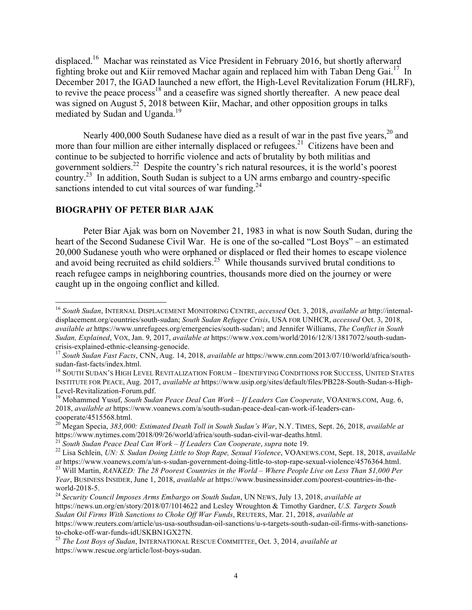displaced.16 Machar was reinstated as Vice President in February 2016, but shortly afterward fighting broke out and Kiir removed Machar again and replaced him with Taban Deng Gai.17 In December 2017, the IGAD launched a new effort, the High-Level Revitalization Forum (HLRF), to revive the peace process<sup>18</sup> and a ceasefire was signed shortly thereafter. A new peace deal was signed on August 5, 2018 between Kiir, Machar, and other opposition groups in talks mediated by Sudan and Uganda. 19

Nearly 400,000 South Sudanese have died as a result of war in the past five years,  $^{20}$  and more than four million are either internally displaced or refugees.<sup>21</sup> Citizens have been and continue to be subjected to horrific violence and acts of brutality by both militias and government soldiers.22 Despite the country's rich natural resources, it is the world's poorest country.<sup>23</sup> In addition, South Sudan is subject to a UN arms embargo and country-specific sanctions intended to cut vital sources of war funding. $^{24}$ 

#### **BIOGRAPHY OF PETER BIAR AJAK**

Peter Biar Ajak was born on November 21, 1983 in what is now South Sudan, during the heart of the Second Sudanese Civil War. He is one of the so-called "Lost Boys" – an estimated 20,000 Sudanese youth who were orphaned or displaced or fled their homes to escape violence and avoid being recruited as child soldiers.<sup>25</sup> While thousands survived brutal conditions to reach refugee camps in neighboring countries, thousands more died on the journey or were caught up in the ongoing conflict and killed.

 <sup>16</sup> *South Sudan*, INTERNAL DISPLACEMENT MONITORING CENTRE, *accessed* Oct. 3, 2018, *available at* http://internaldisplacement.org/countries/south-sudan; *South Sudan Refugee Crisis*, USA FOR UNHCR, *accessed* Oct. 3, 2018, *available at* https://www.unrefugees.org/emergencies/south-sudan/; and Jennifer Williams, *The Conflict in South Sudan, Explained*, VOX, Jan. 9, 2017, *available at* https://www.vox.com/world/2016/12/8/13817072/south-sudan-

crisis-explained-ethnic-cleansing-genocide. <sup>17</sup> *South Sudan Fast Facts*, CNN, Aug. 14, 2018, *available at* https://www.cnn.com/2013/07/10/world/africa/south-

<sup>&</sup>lt;sup>18</sup> SOUTH SUDAN'S HIGH LEVEL REVITALIZATION FORUM – IDENTIFYING CONDITIONS FOR SUCCESS, UNITED STATES INSTITUTE FOR PEACE, Aug. 2017, *available at* https://www.usip.org/sites/default/files/PB228-South-Sudan-s-High-Level-Revitalization-Forum.pdf.<br><sup>19</sup> Mohammed Yusuf, *South Sudan Peace Deal Can Work – If Leaders Can Cooperate*, VOANEWS.COM, Aug. 6,

<sup>2018,</sup> *available at* https://www.voanews.com/a/south-sudan-peace-deal-can-work-if-leaders-cancooperate/4515568.html.

<sup>&</sup>lt;sup>20</sup> Megan Specia, *383,000: Estimated Death Toll in South Sudan's War*, N.Y. TIMES, Sept. 26, 2018, *available at* https://www.nytimes.com/2018/09/26/world/africa/south-sudan-civil-war-deaths.html.

<sup>&</sup>lt;sup>21</sup> South Sudan Peace Deal Can Work – If Leaders Can Cooperate, supra note 19.<br><sup>22</sup> Lisa Schlein, *UN: S. Sudan Doing Little to Stop Rape, Sexual Violence*, VOANEWS.COM, Sept. 18, 2018, available at https://www.voanews.c

 $^{23}$  Will Martin, RANKED: The 28 Poorest Countries in the World – Where People Live on Less Than \$1,000 Per *Year*, BUSINESS INSIDER, June 1, 2018, *available at* https://www.businessinsider.com/poorest-countries-in-the-

world-2018-5. <sup>24</sup> *Security Council Imposes Arms Embargo on South Sudan*, UN NEWS, July 13, 2018, *available at*  https://news.un.org/en/story/2018/07/1014622 and Lesley Wroughton & Timothy Gardner, *U.S. Targets South Sudan Oil Firms With Sanctions to Choke Off War Funds*, REUTERS, Mar. 21, 2018, *available at*  https://www.reuters.com/article/us-usa-southsudan-oil-sanctions/u-s-targets-south-sudan-oil-firms-with-sanctionsto-choke-off-war-funds-idUSKBN1GX27N. <sup>25</sup> *The Lost Boys of Sudan*, INTERNATIONAL RESCUE COMMITTEE, Oct. 3, 2014, *available at*

https://www.rescue.org/article/lost-boys-sudan.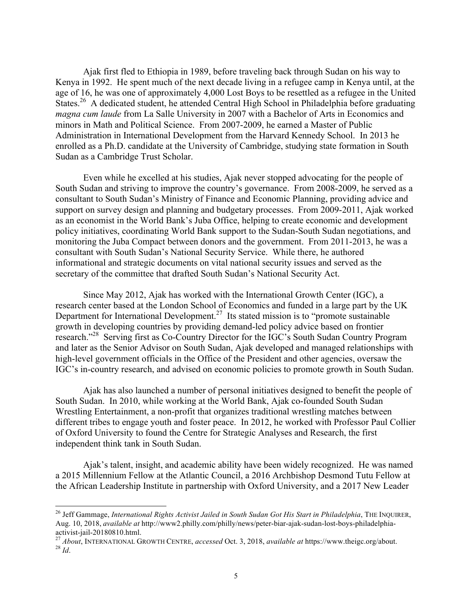Ajak first fled to Ethiopia in 1989, before traveling back through Sudan on his way to Kenya in 1992. He spent much of the next decade living in a refugee camp in Kenya until, at the age of 16, he was one of approximately 4,000 Lost Boys to be resettled as a refugee in the United States.<sup>26</sup> A dedicated student, he attended Central High School in Philadelphia before graduating *magna cum laude* from La Salle University in 2007 with a Bachelor of Arts in Economics and minors in Math and Political Science. From 2007-2009, he earned a Master of Public Administration in International Development from the Harvard Kennedy School. In 2013 he enrolled as a Ph.D. candidate at the University of Cambridge, studying state formation in South Sudan as a Cambridge Trust Scholar.

Even while he excelled at his studies, Ajak never stopped advocating for the people of South Sudan and striving to improve the country's governance. From 2008-2009, he served as a consultant to South Sudan's Ministry of Finance and Economic Planning, providing advice and support on survey design and planning and budgetary processes. From 2009-2011, Ajak worked as an economist in the World Bank's Juba Office, helping to create economic and development policy initiatives, coordinating World Bank support to the Sudan-South Sudan negotiations, and monitoring the Juba Compact between donors and the government. From 2011-2013, he was a consultant with South Sudan's National Security Service. While there, he authored informational and strategic documents on vital national security issues and served as the secretary of the committee that drafted South Sudan's National Security Act.

Since May 2012, Ajak has worked with the International Growth Center (IGC), a research center based at the London School of Economics and funded in a large part by the UK Department for International Development.<sup>27</sup> Its stated mission is to "promote sustainable" growth in developing countries by providing demand-led policy advice based on frontier research."28 Serving first as Co-Country Director for the IGC's South Sudan Country Program and later as the Senior Advisor on South Sudan, Ajak developed and managed relationships with high-level government officials in the Office of the President and other agencies, oversaw the IGC's in-country research, and advised on economic policies to promote growth in South Sudan.

Ajak has also launched a number of personal initiatives designed to benefit the people of South Sudan. In 2010, while working at the World Bank, Ajak co-founded South Sudan Wrestling Entertainment, a non-profit that organizes traditional wrestling matches between different tribes to engage youth and foster peace. In 2012, he worked with Professor Paul Collier of Oxford University to found the Centre for Strategic Analyses and Research, the first independent think tank in South Sudan.

Ajak's talent, insight, and academic ability have been widely recognized. He was named a 2015 Millennium Fellow at the Atlantic Council, a 2016 Archbishop Desmond Tutu Fellow at the African Leadership Institute in partnership with Oxford University, and a 2017 New Leader

<sup>&</sup>lt;sup>26</sup> Jeff Gammage, *International Rights Activist Jailed in South Sudan Got His Start in Philadelphia*, THE INQUIRER, Aug. 10, 2018, *available at* http://www2.philly.com/philly/news/peter-biar-ajak-sudan-lost-boys-philadelphia-

activist-jail-20180810.html.<br><sup>27</sup> *About*, INTERNATIONAL GROWTH CENTRE, *accessed* Oct. 3, 2018, *available at* https://www.theigc.org/about.<br><sup>28</sup> *Id.*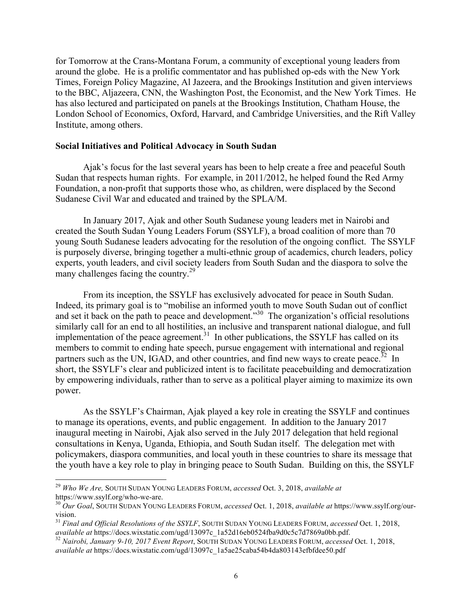for Tomorrow at the Crans-Montana Forum, a community of exceptional young leaders from around the globe. He is a prolific commentator and has published op-eds with the New York Times, Foreign Policy Magazine, Al Jazeera, and the Brookings Institution and given interviews to the BBC, Aljazeera, CNN, the Washington Post, the Economist, and the New York Times. He has also lectured and participated on panels at the Brookings Institution, Chatham House, the London School of Economics, Oxford, Harvard, and Cambridge Universities, and the Rift Valley Institute, among others.

#### **Social Initiatives and Political Advocacy in South Sudan**

Ajak's focus for the last several years has been to help create a free and peaceful South Sudan that respects human rights. For example, in 2011/2012, he helped found the Red Army Foundation, a non-profit that supports those who, as children, were displaced by the Second Sudanese Civil War and educated and trained by the SPLA/M.

In January 2017, Ajak and other South Sudanese young leaders met in Nairobi and created the South Sudan Young Leaders Forum (SSYLF), a broad coalition of more than 70 young South Sudanese leaders advocating for the resolution of the ongoing conflict. The SSYLF is purposely diverse, bringing together a multi-ethnic group of academics, church leaders, policy experts, youth leaders, and civil society leaders from South Sudan and the diaspora to solve the many challenges facing the country.<sup>29</sup>

From its inception, the SSYLF has exclusively advocated for peace in South Sudan. Indeed, its primary goal is to "mobilise an informed youth to move South Sudan out of conflict and set it back on the path to peace and development. $\frac{30}{100}$  The organization's official resolutions similarly call for an end to all hostilities, an inclusive and transparent national dialogue, and full implementation of the peace agreement.<sup>31</sup> In other publications, the SSYLF has called on its members to commit to ending hate speech, pursue engagement with international and regional partners such as the UN, IGAD, and other countries, and find new ways to create peace.<sup>32</sup> In short, the SSYLF's clear and publicized intent is to facilitate peacebuilding and democratization by empowering individuals, rather than to serve as a political player aiming to maximize its own power.

As the SSYLF's Chairman, Ajak played a key role in creating the SSYLF and continues to manage its operations, events, and public engagement. In addition to the January 2017 inaugural meeting in Nairobi, Ajak also served in the July 2017 delegation that held regional consultations in Kenya, Uganda, Ethiopia, and South Sudan itself. The delegation met with policymakers, diaspora communities, and local youth in these countries to share its message that the youth have a key role to play in bringing peace to South Sudan. Building on this, the SSYLF

 <sup>29</sup> *Who We Are,* SOUTH SUDAN YOUNG LEADERS FORUM, *accessed* Oct. 3, 2018, *available at* 

https://www.ssylf.org/who-we-are. <sup>30</sup> *Our Goal*, SOUTH SUDAN YOUNG LEADERS FORUM, *accessed* Oct. 1, 2018, *available at* https://www.ssylf.org/ourvision.<br><sup>31</sup> *Final and Official Resolutions of the SSYLF*, SOUTH SUDAN YOUNG LEADERS FORUM, *accessed* Oct. 1, 2018,

*available at* https://docs.wixstatic.com/ugd/13097c\_1a52d16eb0524fba9d0c5c7d7869a0bb.pdf. <sup>32</sup> *Nairobi, January 9-10, 2017 Event Report*, SOUTH SUDAN YOUNG LEADERS FORUM, *accessed* Oct. 1, 2018,

*available at* https://docs.wixstatic.com/ugd/13097c\_1a5ae25caba54b4da803143efbfdee50.pdf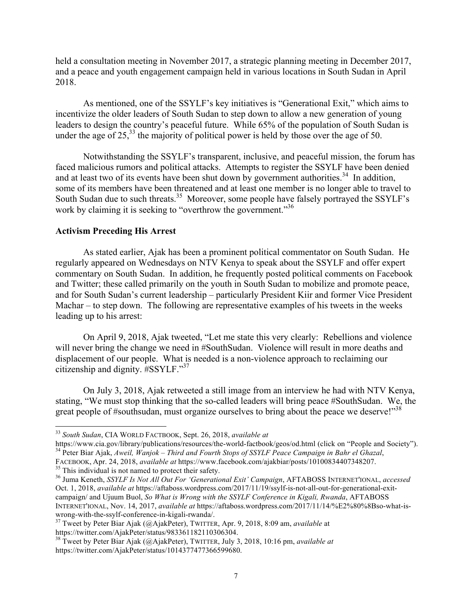held a consultation meeting in November 2017, a strategic planning meeting in December 2017, and a peace and youth engagement campaign held in various locations in South Sudan in April 2018.

As mentioned, one of the SSYLF's key initiatives is "Generational Exit," which aims to incentivize the older leaders of South Sudan to step down to allow a new generation of young leaders to design the country's peaceful future. While 65% of the population of South Sudan is under the age of  $25<sup>33</sup>$ , the majority of political power is held by those over the age of 50.

Notwithstanding the SSYLF's transparent, inclusive, and peaceful mission, the forum has faced malicious rumors and political attacks. Attempts to register the SSYLF have been denied and at least two of its events have been shut down by government authorities.<sup>34</sup> In addition, some of its members have been threatened and at least one member is no longer able to travel to South Sudan due to such threats.<sup>35</sup> Moreover, some people have falsely portrayed the SSYLF's work by claiming it is seeking to "overthrow the government."<sup>36</sup>

#### **Activism Preceding His Arrest**

As stated earlier, Ajak has been a prominent political commentator on South Sudan. He regularly appeared on Wednesdays on NTV Kenya to speak about the SSYLF and offer expert commentary on South Sudan. In addition, he frequently posted political comments on Facebook and Twitter; these called primarily on the youth in South Sudan to mobilize and promote peace, and for South Sudan's current leadership – particularly President Kiir and former Vice President Machar – to step down. The following are representative examples of his tweets in the weeks leading up to his arrest:

On April 9, 2018, Ajak tweeted, "Let me state this very clearly: Rebellions and violence will never bring the change we need in #SouthSudan. Violence will result in more deaths and displacement of our people. What is needed is a non-violence approach to reclaiming our citizenship and dignity. #SSYLF." 37

On July 3, 2018, Ajak retweeted a still image from an interview he had with NTV Kenya, stating, "We must stop thinking that the so-called leaders will bring peace #SouthSudan. We, the great people of #southsudan, must organize ourselves to bring about the peace we deserve!" $38$ 

<sup>&</sup>lt;sup>33</sup> *South Sudan*, CIA WORLD FACTBOOK, Sept. 26, 2018, *available at* https://www.cia.gov/library/publications/resources/the-world-factbook/geos/od.html (click on "People and Society"). <sup>34</sup> Peter Biar Ajak, Aweil, Wanjok - Third and Fourth Stops of SSYLF Peace Campaign in Bahr el Ghazal,

FACEBOOK, Apr. 24, 2018, available at https://www.facebook.com/ajakbiar/posts/10100834407348207.<br><sup>35</sup> This individual is not named to protect their safety.<br><sup>36</sup> Juma Keneth, *SSYLF Is Not All Out For 'Generational Exit' Ca* 

Oct. 1, 2018, *available at* https://aftaboss.wordpress.com/2017/11/19/ssylf-is-not-all-out-for-generational-exitcampaign/ and Ujuum Buol, *So What is Wrong with the SSYLF Conference in Kigali, Rwanda*, AFTABOSS INTERNET'IONAL, Nov. 14, 2017, *available at* https://aftaboss.wordpress.com/2017/11/14/%E2%80%8Bso-what-iswrong-with-the-ssylf-conference-in-kigali-rwanda/. <sup>37</sup> Tweet by Peter Biar Ajak (@AjakPeter), TWITTER, Apr. 9, 2018, 8:09 am, *available* at

https://twitter.com/AjakPeter/status/983361182110306304.

<sup>38</sup> Tweet by Peter Biar Ajak (@AjakPeter), TWITTER, July 3, 2018, 10:16 pm, *available at*  https://twitter.com/AjakPeter/status/1014377477366599680.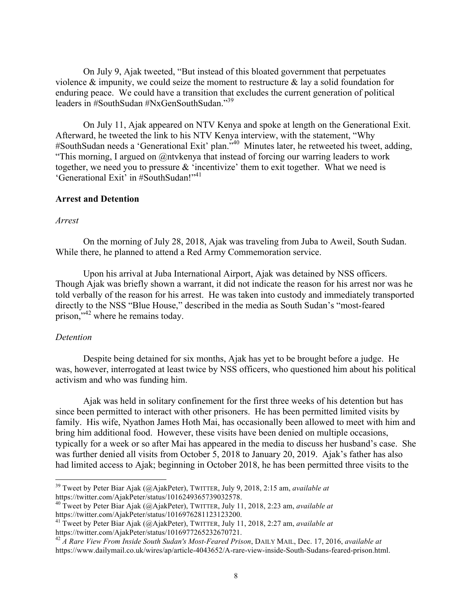On July 9, Ajak tweeted, "But instead of this bloated government that perpetuates violence  $\&$  impunity, we could seize the moment to restructure  $\&$  lay a solid foundation for enduring peace. We could have a transition that excludes the current generation of political leaders in #SouthSudan #NxGenSouthSudan." 39

On July 11, Ajak appeared on NTV Kenya and spoke at length on the Generational Exit. Afterward, he tweeted the link to his NTV Kenya interview, with the statement, "Why #SouthSudan needs a 'Generational Exit' plan."<sup>40</sup> Minutes later, he retweeted his tweet, adding, "This morning, I argued on @ntvkenya that instead of forcing our warring leaders to work together, we need you to pressure & 'incentivize' them to exit together. What we need is 'Generational Exit' in #SouthSudan!"<sup>41</sup>

#### **Arrest and Detention**

#### *Arrest*

On the morning of July 28, 2018, Ajak was traveling from Juba to Aweil, South Sudan. While there, he planned to attend a Red Army Commemoration service.

Upon his arrival at Juba International Airport, Ajak was detained by NSS officers. Though Ajak was briefly shown a warrant, it did not indicate the reason for his arrest nor was he told verbally of the reason for his arrest. He was taken into custody and immediately transported directly to the NSS "Blue House," described in the media as South Sudan's "most-feared prison,"<sup>42</sup> where he remains today.

#### *Detention*

Despite being detained for six months, Ajak has yet to be brought before a judge. He was, however, interrogated at least twice by NSS officers, who questioned him about his political activism and who was funding him.

Ajak was held in solitary confinement for the first three weeks of his detention but has since been permitted to interact with other prisoners. He has been permitted limited visits by family. His wife, Nyathon James Hoth Mai, has occasionally been allowed to meet with him and bring him additional food. However, these visits have been denied on multiple occasions, typically for a week or so after Mai has appeared in the media to discuss her husband's case. She was further denied all visits from October 5, 2018 to January 20, 2019. Ajak's father has also had limited access to Ajak; beginning in October 2018, he has been permitted three visits to the

<sup>&</sup>lt;sup>39</sup> Tweet by Peter Biar Ajak (@AjakPeter), TWITTER, July 9, 2018, 2:15 am, *available at* https://twitter.com/AjakPeter/status/1016249365739032578.

<sup>&</sup>lt;sup>40</sup> Tweet by Peter Biar Ajak (@AjakPeter), TWITTER, July 11, 2018, 2:23 am, *available at* https://twitter.com/AjakPeter/status/1016976281123123200.

<sup>41</sup> Tweet by Peter Biar Ajak (@AjakPeter), TWITTER, July 11, 2018, 2:27 am, *available at*  https://twitter.com/AjakPeter/status/1016977265232670721.

<sup>42</sup> *A Rare View From Inside South Sudan's Most-Feared Prison*, DAILY MAIL, Dec. 17, 2016, *available at*  https://www.dailymail.co.uk/wires/ap/article-4043652/A-rare-view-inside-South-Sudans-feared-prison.html.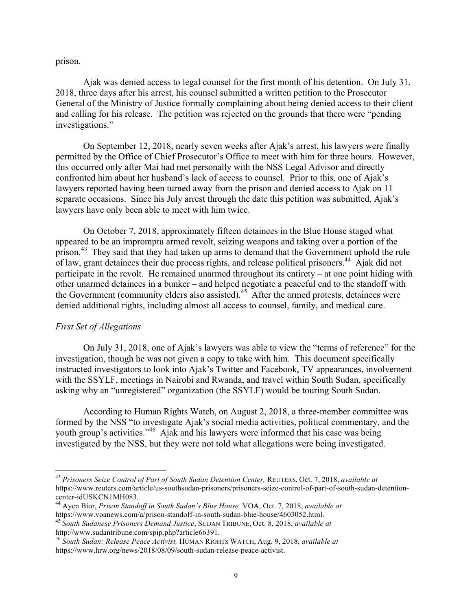prison.

Ajak was denied access to legal counsel for the first month of his detention. On July 31, 2018, three days after his arrest, his counsel submitted a written petition to the Prosecutor General of the Ministry of Justice formally complaining about being denied access to their client and calling for his release. The petition was rejected on the grounds that there were "pending investigations."

On September 12, 2018, nearly seven weeks after Ajak's arrest, his lawyers were finally permitted by the Office of Chief Prosecutor's Office to meet with him for three hours. However, this occurred only after Mai had met personally with the NSS Legal Advisor and directly confronted him about her husband's lack of access to counsel. Prior to this, one of Ajak's lawyers reported having been turned away from the prison and denied access to Ajak on 11 separate occasions. Since his July arrest through the date this petition was submitted, Ajak's lawyers have only been able to meet with him twice.

On October 7, 2018, approximately fifteen detainees in the Blue House staged what appeared to be an impromptu armed revolt, seizing weapons and taking over a portion of the prison.<sup>43</sup> They said that they had taken up arms to demand that the Government uphold the rule of law, grant detainees their due process rights, and release political prisoners.<sup>44</sup> Ajak did not participate in the revolt. He remained unarmed throughout its entirety – at one point hiding with other unarmed detainees in a bunker – and helped negotiate a peaceful end to the standoff with the Government (community elders also assisted). 45 After the armed protests, detainees were denied additional rights, including almost all access to counsel, family, and medical care.

#### *First Set of Allegations*

On July 31, 2018, one of Ajak's lawyers was able to view the "terms of reference" for the investigation, though he was not given a copy to take with him. This document specifically instructed investigators to look into Ajak's Twitter and Facebook, TV appearances, involvement with the SSYLF, meetings in Nairobi and Rwanda, and travel within South Sudan, specifically asking why an "unregistered" organization (the SSYLF) would be touring South Sudan.

According to Human Rights Watch, on August 2, 2018, a three-member committee was formed by the NSS "to investigate Ajak's social media activities, political commentary, and the youth group's activities."46 Ajak and his lawyers were informed that his case was being investigated by the NSS, but they were not told what allegations were being investigated.

 <sup>43</sup> *Prisoners Seize Control of Part of South Sudan Detention Center,* REUTERS, Oct. 7, 2018, *available at* https://www.reuters.com/article/us-southsudan-prisoners/prisoners-seize-control-of-part-of-south-sudan-detention-

<sup>&</sup>lt;sup>44</sup> Ayen Bior, *Prison Standoff in South Sudan's Blue House*, VOA, Oct. 7, 2018, *available at* https://www.voanews.com/a/prison-standoff-in-south-sudan-blue-house/4603052.html.

<sup>&</sup>lt;sup>45</sup> South Sudanese Prisoners Demand Justice, SUDAN TRIBUNE, Oct. 8, 2018, *available at* http://www.sudantribune.com/spip.php?article66391.

<sup>46</sup> *South Sudan: Release Peace Activist,* HUMAN RIGHTS WATCH, Aug. 9, 2018, *available at*  https://www.hrw.org/news/2018/08/09/south-sudan-release-peace-activist.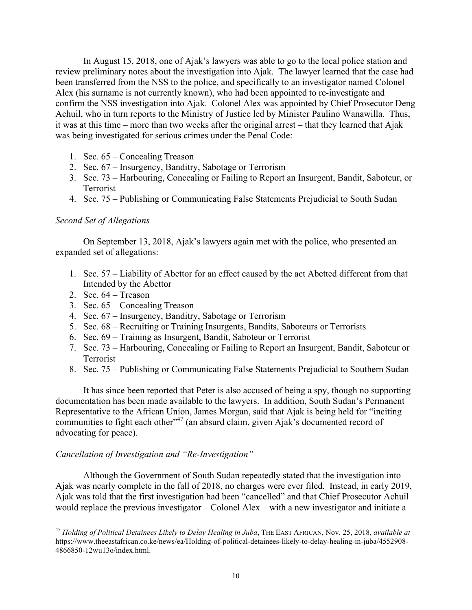In August 15, 2018, one of Ajak's lawyers was able to go to the local police station and review preliminary notes about the investigation into Ajak. The lawyer learned that the case had been transferred from the NSS to the police, and specifically to an investigator named Colonel Alex (his surname is not currently known), who had been appointed to re-investigate and confirm the NSS investigation into Ajak. Colonel Alex was appointed by Chief Prosecutor Deng Achuil, who in turn reports to the Ministry of Justice led by Minister Paulino Wanawilla. Thus, it was at this time – more than two weeks after the original arrest – that they learned that Ajak was being investigated for serious crimes under the Penal Code:

- 1. Sec. 65 Concealing Treason
- 2. Sec. 67 Insurgency, Banditry, Sabotage or Terrorism
- 3. Sec. 73 Harbouring, Concealing or Failing to Report an Insurgent, Bandit, Saboteur, or Terrorist
- 4. Sec. 75 Publishing or Communicating False Statements Prejudicial to South Sudan

#### *Second Set of Allegations*

On September 13, 2018, Ajak's lawyers again met with the police, who presented an expanded set of allegations:

- 1. Sec. 57 Liability of Abettor for an effect caused by the act Abetted different from that Intended by the Abettor
- 2. Sec.  $64 T$ reason
- 3. Sec. 65 Concealing Treason
- 4. Sec. 67 Insurgency, Banditry, Sabotage or Terrorism
- 5. Sec. 68 Recruiting or Training Insurgents, Bandits, Saboteurs or Terrorists
- 6. Sec. 69 Training as Insurgent, Bandit, Saboteur or Terrorist
- 7. Sec. 73 Harbouring, Concealing or Failing to Report an Insurgent, Bandit, Saboteur or Terrorist
- 8. Sec. 75 Publishing or Communicating False Statements Prejudicial to Southern Sudan

It has since been reported that Peter is also accused of being a spy, though no supporting documentation has been made available to the lawyers. In addition, South Sudan's Permanent Representative to the African Union, James Morgan, said that Ajak is being held for "inciting communities to fight each other"<sup>47</sup> (an absurd claim, given Ajak's documented record of advocating for peace).

#### *Cancellation of Investigation and "Re-Investigation"*

Although the Government of South Sudan repeatedly stated that the investigation into Ajak was nearly complete in the fall of 2018, no charges were ever filed. Instead, in early 2019, Ajak was told that the first investigation had been "cancelled" and that Chief Prosecutor Achuil would replace the previous investigator – Colonel Alex – with a new investigator and initiate a

 <sup>47</sup> *Holding of Political Detainees Likely to Delay Healing in Juba*, THE EAST AFRICAN, Nov. 25, 2018, *available at* https://www.theeastafrican.co.ke/news/ea/Holding-of-political-detainees-likely-to-delay-healing-in-juba/4552908- 4866850-12wu13o/index.html.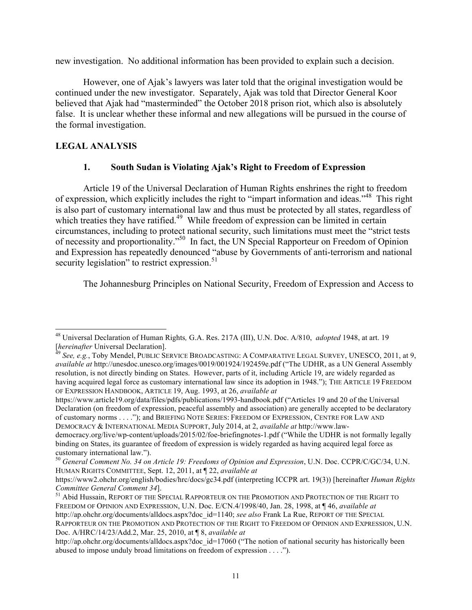new investigation. No additional information has been provided to explain such a decision.

However, one of Ajak's lawyers was later told that the original investigation would be continued under the new investigator. Separately, Ajak was told that Director General Koor believed that Ajak had "masterminded" the October 2018 prison riot, which also is absolutely false. It is unclear whether these informal and new allegations will be pursued in the course of the formal investigation.

### **LEGAL ANALYSIS**

#### **1. South Sudan is Violating Ajak's Right to Freedom of Expression**

Article 19 of the Universal Declaration of Human Rights enshrines the right to freedom of expression, which explicitly includes the right to "impart information and ideas."48 This right is also part of customary international law and thus must be protected by all states, regardless of which treaties they have ratified.<sup>49</sup> While freedom of expression can be limited in certain circumstances, including to protect national security, such limitations must meet the "strict tests of necessity and proportionality."50 In fact, the UN Special Rapporteur on Freedom of Opinion and Expression has repeatedly denounced "abuse by Governments of anti-terrorism and national security legislation" to restrict expression.<sup>51</sup>

The Johannesburg Principles on National Security, Freedom of Expression and Access to

https://www.article19.org/data/files/pdfs/publications/1993-handbook.pdf ("Articles 19 and 20 of the Universal Declaration (on freedom of expression, peaceful assembly and association) are generally accepted to be declaratory of customary norms . . . ."); and BRIEFING NOTE SERIES: FREEDOM OF EXPRESSION, CENTRE FOR LAW AND DEMOCRACY & INTERNATIONAL MEDIA SUPPORT, July 2014, at 2, *available at* http://www.law-

<sup>48</sup> Universal Declaration of Human Rights, G.A. Res. 217A (III), U.N. Doc. A/810, *adopted* 1948, at art. 19<br>*[hereinafter* Universal Declaration].

*See, e.g.*, Toby Mendel, PUBLIC SERVICE BROADCASTING: A COMPARATIVE LEGAL SURVEY, UNESCO, 2011, at 9, *available at* http://unesdoc.unesco.org/images/0019/001924/192459e.pdf ("The UDHR, as a UN General Assembly resolution, is not directly binding on States. However, parts of it, including Article 19, are widely regarded as having acquired legal force as customary international law since its adoption in 1948."); THE ARTICLE 19 FREEDOM OF EXPRESSION HANDBOOK, ARTICLE 19, Aug. 1993, at 26, *available at*

democracy.org/live/wp-content/uploads/2015/02/foe-briefingnotes-1.pdf ("While the UDHR is not formally legally binding on States, its guarantee of freedom of expression is widely regarded as having acquired legal force as customary international law.").

<sup>50</sup> *General Comment No. 34 on Article 19: Freedoms of Opinion and Expression*, U.N. Doc. CCPR/C/GC/34, U.N. HUMAN RIGHTS COMMITTEE, Sept. 12, 2011, at ¶ 22, *available at*

https://www2.ohchr.org/english/bodies/hrc/docs/gc34.pdf (interpreting ICCPR art. 19(3)) [hereinafter *Human Rights* 

<sup>&</sup>lt;sup>51</sup> Abid Hussain, REPORT OF THE SPECIAL RAPPORTEUR ON THE PROMOTION AND PROTECTION OF THE RIGHT TO FREEDOM OF OPINION AND EXPRESSION, U.N. Doc. E/CN.4/1998/40, Jan. 28, 1998, at ¶ 46, *available at*  http://ap.ohchr.org/documents/alldocs.aspx?doc\_id=1140; *see also* Frank La Rue, REPORT OF THE SPECIAL RAPPORTEUR ON THE PROMOTION AND PROTECTION OF THE RIGHT TO FREEDOM OF OPINION AND EXPRESSION, U.N. Doc. A/HRC/14/23/Add.2, Mar. 25, 2010, at ¶ 8, *available at* 

http://ap.ohchr.org/documents/alldocs.aspx?doc\_id=17060 ("The notion of national security has historically been abused to impose unduly broad limitations on freedom of expression . . . .").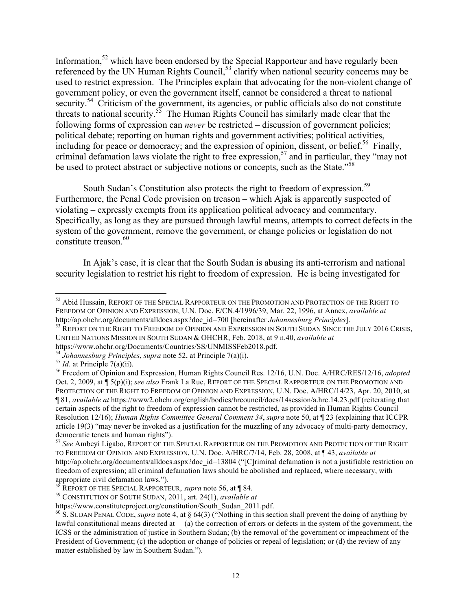Information,<sup>52</sup> which have been endorsed by the Special Rapporteur and have regularly been referenced by the UN Human Rights Council,<sup>53</sup> clarify when national security concerns may be used to restrict expression. The Principles explain that advocating for the non-violent change of government policy, or even the government itself, cannot be considered a threat to national security.<sup>54</sup> Criticism of the government, its agencies, or public officials also do not constitute threats to national security.<sup>55</sup> The Human Rights Council has similarly made clear that the following forms of expression can *never* be restricted – discussion of government policies; political debate; reporting on human rights and government activities; political activities, including for peace or democracy; and the expression of opinion, dissent, or belief.<sup>56</sup> Finally, criminal defamation laws violate the right to free expression,<sup>57</sup> and in particular, they "may not be used to protect abstract or subjective notions or concepts, such as the State."<sup>58</sup>

South Sudan's Constitution also protects the right to freedom of expression.<sup>59</sup> Furthermore, the Penal Code provision on treason – which Ajak is apparently suspected of violating – expressly exempts from its application political advocacy and commentary. Specifically, as long as they are pursued through lawful means, attempts to correct defects in the system of the government, remove the government, or change policies or legislation do not constitute treason. 60

In Ajak's case, it is clear that the South Sudan is abusing its anti-terrorism and national security legislation to restrict his right to freedom of expression. He is being investigated for

UNITED NATIONS MISSION IN SOUTH SUDAN & OHCHR, Feb. 2018, at 9 n.40, *available at*

https://www.ohchr.org/Documents/Countries/SS/UNMISSFeb2018.pdf.

<sup>&</sup>lt;sup>52</sup> Abid Hussain, REPORT OF THE SPECIAL RAPPORTEUR ON THE PROMOTION AND PROTECTION OF THE RIGHT TO FREEDOM OF OPINION AND EXPRESSION, U.N. Doc. E/CN.4/1996/39, Mar. 22, 1996, at Annex, *available at*  http://ap.ohchr.org/documents/alldocs.aspx?doc\_id=700 [hereinafter *Johannesburg Principles*].<br><sup>53</sup> REPORT ON THE RIGHT TO FREEDOM OF OPINION AND EXPRESSION IN SOUTH SUDAN SINCE THE JULY 2016 CRISIS,

<sup>&</sup>lt;sup>54</sup> Johannesburg Principles, supra note 52, at Principle 7(a)(i).<br><sup>55</sup> Id. at Principle 7(a)(ii).<br><sup>55</sup> Freedom of Opinion and Expression, Human Rights Council Res. 12/16, U.N. Doc. A/HRC/RES/12/16, adopted Oct. 2, 2009, at ¶ 5(p)(i); *see also* Frank La Rue, REPORT OF THE SPECIAL RAPPORTEUR ON THE PROMOTION AND PROTECTION OF THE RIGHT TO FREEDOM OF OPINION AND EXPRESSION, U.N. Doc. A/HRC/14/23, Apr. 20, 2010, at ¶ 81, *available at* https://www2.ohchr.org/english/bodies/hrcouncil/docs/14session/a.hrc.14.23.pdf (reiterating that certain aspects of the right to freedom of expression cannot be restricted, as provided in Human Rights Council Resolution 12/16); *Human Rights Committee General Comment 34*, *supra* note 50, at ¶ 23 (explaining that ICCPR article 19(3) "may never be invoked as a justification for the muzzling of any advocacy of multi-party democracy, democratic tenets and human rights").

<sup>57</sup> *See* Ambeyi Ligabo, REPORT OF THE SPECIAL RAPPORTEUR ON THE PROMOTION AND PROTECTION OF THE RIGHT TO FREEDOM OF OPINION AND EXPRESSION, U.N. Doc. A/HRC/7/14, Feb. 28, 2008, at ¶ 43, *available at*  http://ap.ohchr.org/documents/alldocs.aspx?doc\_id=13804 ("[C]riminal defamation is not a justifiable restriction on freedom of expression; all criminal defamation laws should be abolished and replaced, where necessary, with appropriate civil defamation laws.").<br><sup>58</sup> REPORT OF THE SPECIAL RAPPORTEUR, *supra* note 56, at ¶ 84.<br><sup>59</sup> CONSTITUTION OF SOUTH SUDAN, 2011, art. 24(1), *available at* <br>https://www.constituteproject.org/constitution/Sout

 $h^6$  S. SUDAN PENAL CODE, *supra* note 4, at § 64(3) ("Nothing in this section shall prevent the doing of anything by lawful constitutional means directed at— (a) the correction of errors or defects in the system of the government, the ICSS or the administration of justice in Southern Sudan; (b) the removal of the government or impeachment of the President of Government; (c) the adoption or change of policies or repeal of legislation; or (d) the review of any matter established by law in Southern Sudan.").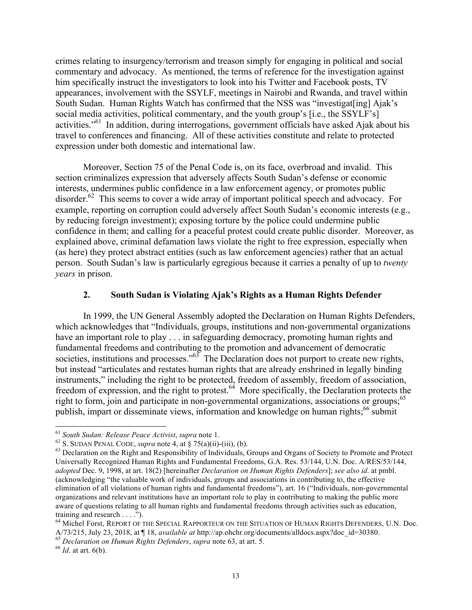crimes relating to insurgency/terrorism and treason simply for engaging in political and social commentary and advocacy. As mentioned, the terms of reference for the investigation against him specifically instruct the investigators to look into his Twitter and Facebook posts, TV appearances, involvement with the SSYLF, meetings in Nairobi and Rwanda, and travel within South Sudan. Human Rights Watch has confirmed that the NSS was "investigat[ing] Ajak's social media activities, political commentary, and the youth group's [i.e., the SSYLF's] activities."61 In addition, during interrogations, government officials have asked Ajak about his travel to conferences and financing. All of these activities constitute and relate to protected expression under both domestic and international law.

Moreover, Section 75 of the Penal Code is, on its face, overbroad and invalid. This section criminalizes expression that adversely affects South Sudan's defense or economic interests, undermines public confidence in a law enforcement agency, or promotes public disorder.<sup>62</sup> This seems to cover a wide array of important political speech and advocacy. For example, reporting on corruption could adversely affect South Sudan's economic interests (e.g., by reducing foreign investment); exposing torture by the police could undermine public confidence in them; and calling for a peaceful protest could create public disorder. Moreover, as explained above, criminal defamation laws violate the right to free expression, especially when (as here) they protect abstract entities (such as law enforcement agencies) rather that an actual person. South Sudan's law is particularly egregious because it carries a penalty of up to *twenty years* in prison.

#### **2. South Sudan is Violating Ajak's Rights as a Human Rights Defender**

In 1999, the UN General Assembly adopted the Declaration on Human Rights Defenders, which acknowledges that "Individuals, groups, institutions and non-governmental organizations have an important role to play . . . in safeguarding democracy, promoting human rights and fundamental freedoms and contributing to the promotion and advancement of democratic societies, institutions and processes." $63$  The Declaration does not purport to create new rights, but instead "articulates and restates human rights that are already enshrined in legally binding instruments," including the right to be protected, freedom of assembly, freedom of association, freedom of expression, and the right to protest.<sup>64</sup> More specifically, the Declaration protects the right to form, join and participate in non-governmental organizations, associations or groups;<sup>65</sup> publish, impart or disseminate views, information and knowledge on human rights;<sup>66</sup> submit

<sup>&</sup>lt;sup>61</sup> South Sudan: Release Peace Activist, supra note 1.<br><sup>62</sup> S. SUDAN PENAL CODE, supra note 4, at § 75(a)(ii)-(iii), (b).<br><sup>63</sup> Declaration on the Right and Responsibility of Individuals, Groups and Organs of Society to P Universally Recognized Human Rights and Fundamental Freedoms, G.A. Res. 53/144, U.N. Doc. A/RES/53/144, *adopted* Dec. 9, 1998, at art. 18(2) [hereinafter *Declaration on Human Rights Defenders*]; *see also id*. at pmbl. (acknowledging "the valuable work of individuals, groups and associations in contributing to, the effective elimination of all violations of human rights and fundamental freedoms"), art. 16 ("Individuals, non-governmental organizations and relevant institutions have an important role to play in contributing to making the public more aware of questions relating to all human rights and fundamental freedoms through activities such as education,

training and research . . . .").<br><sup>64</sup> Michel Forst, REPORT OF THE SPECIAL RAPPORTEUR ON THE SITUATION OF HUMAN RIGHTS DEFENDERS, U.N. Doc.<br>A/73/215, July 23, 2018, at ¶ 18, *available at* http://ap.ohchr.org/documents/alld

<sup>&</sup>lt;sup>65</sup> Declaration on Human Rights Defenders, supra note 63, at art. 5.<br><sup>66</sup> Id. at art. 6(b).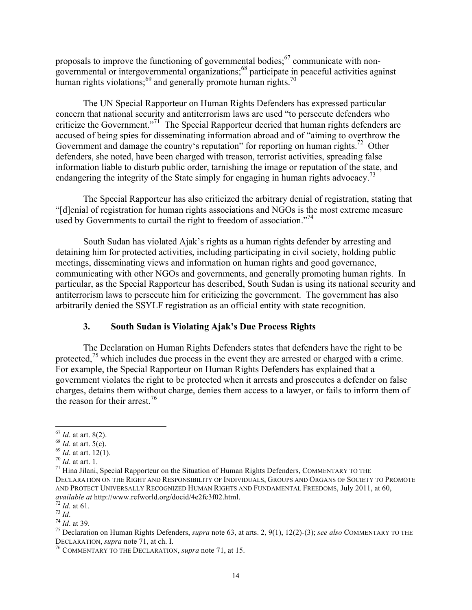proposals to improve the functioning of governmental bodies; $67$  communicate with nongovernmental or intergovernmental organizations;<sup>68</sup> participate in peaceful activities against human rights violations; $^{69}$  and generally promote human rights.<sup>70</sup>

The UN Special Rapporteur on Human Rights Defenders has expressed particular concern that national security and antiterrorism laws are used "to persecute defenders who criticize the Government."<sup>71</sup> The Special Rapporteur decried that human rights defenders are accused of being spies for disseminating information abroad and of "aiming to overthrow the Government and damage the country's reputation" for reporting on human rights.<sup>72</sup> Other defenders, she noted, have been charged with treason, terrorist activities, spreading false information liable to disturb public order, tarnishing the image or reputation of the state, and endangering the integrity of the State simply for engaging in human rights advocacy.<sup>73</sup>

The Special Rapporteur has also criticized the arbitrary denial of registration, stating that "[d]enial of registration for human rights associations and NGOs is the most extreme measure used by Governments to curtail the right to freedom of association."<sup>74</sup>

South Sudan has violated Ajak's rights as a human rights defender by arresting and detaining him for protected activities, including participating in civil society, holding public meetings, disseminating views and information on human rights and good governance, communicating with other NGOs and governments, and generally promoting human rights. In particular, as the Special Rapporteur has described, South Sudan is using its national security and antiterrorism laws to persecute him for criticizing the government. The government has also arbitrarily denied the SSYLF registration as an official entity with state recognition.

#### **3. South Sudan is Violating Ajak's Due Process Rights**

The Declaration on Human Rights Defenders states that defenders have the right to be protected,<sup>75</sup> which includes due process in the event they are arrested or charged with a crime. For example, the Special Rapporteur on Human Rights Defenders has explained that a government violates the right to be protected when it arrests and prosecutes a defender on false charges, detains them without charge, denies them access to a lawyer, or fails to inform them of the reason for their arrest.<sup>76</sup>

<sup>&</sup>lt;sup>67</sup> *Id.* at art. 8(2).<br><sup>68</sup> *Id.* at art. 5(c).<br><sup>69</sup> *Id.* at art. 12(1).<br><sup>70</sup> *Id.* at art. 1.<br><sup>71</sup> Hina Jilani, Special Rapporteur on the Situation of Human Rights Defenders, COMMENTARY TO THE DECLARATION ON THE RIGHT AND RESPONSIBILITY OF INDIVIDUALS, GROUPS AND ORGANS OF SOCIETY TO PROMOTE AND PROTECT UNIVERSALLY RECOGNIZED HUMAN RIGHTS AND FUNDAMENTAL FREEDOMS, July 2011, at 60, available at http://www.refworld.org/docid/4e2fc3f02.html.

<sup>&</sup>lt;sup>72</sup> *Id.* at 61.<br>
<sup>73</sup> *Id.*<br>
<sup>74</sup> *Id.* at 39.<br>
<sup>75</sup> Declaration on Human Rights Defenders, *supra* note 63, at arts. 2, 9(1), 12(2)-(3); *see also* COMMENTARY TO THE DECLARATION, *supra* note 71, at ch. I.

<sup>&</sup>lt;sup>76</sup> COMMENTARY TO THE DECLARATION, *supra* note 71, at 15.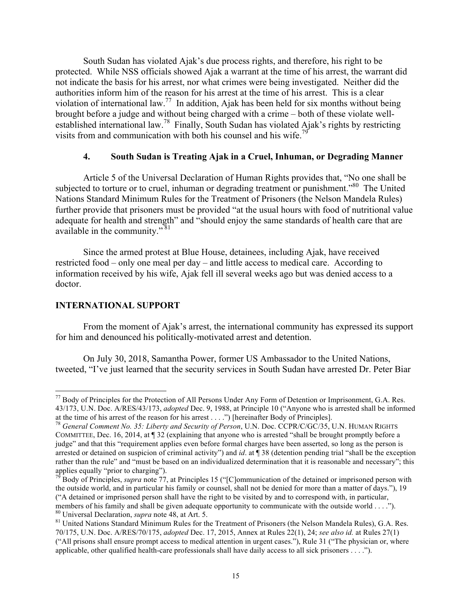South Sudan has violated Ajak's due process rights, and therefore, his right to be protected. While NSS officials showed Ajak a warrant at the time of his arrest, the warrant did not indicate the basis for his arrest, nor what crimes were being investigated. Neither did the authorities inform him of the reason for his arrest at the time of his arrest. This is a clear violation of international law.<sup>77</sup> In addition, Ajak has been held for six months without being brought before a judge and without being charged with a crime – both of these violate wellestablished international law.78 Finally, South Sudan has violated Ajak's rights by restricting visits from and communication with both his counsel and his wife.<sup>79</sup>

#### **4. South Sudan is Treating Ajak in a Cruel, Inhuman, or Degrading Manner**

Article 5 of the Universal Declaration of Human Rights provides that, "No one shall be subjected to torture or to cruel, inhuman or degrading treatment or punishment."<sup>80</sup> The United Nations Standard Minimum Rules for the Treatment of Prisoners (the Nelson Mandela Rules) further provide that prisoners must be provided "at the usual hours with food of nutritional value adequate for health and strength" and "should enjoy the same standards of health care that are available in the community." <sup>81</sup>

Since the armed protest at Blue House, detainees, including Ajak, have received restricted food – only one meal per day – and little access to medical care. According to information received by his wife, Ajak fell ill several weeks ago but was denied access to a doctor.

#### **INTERNATIONAL SUPPORT**

From the moment of Ajak's arrest, the international community has expressed its support for him and denounced his politically-motivated arrest and detention.

On July 30, 2018, Samantha Power, former US Ambassador to the United Nations, tweeted, "I've just learned that the security services in South Sudan have arrested Dr. Peter Biar

<sup>&</sup>lt;sup>77</sup> Body of Principles for the Protection of All Persons Under Any Form of Detention or Imprisonment, G.A. Res. 43/173, U.N. Doc. A/RES/43/173, *adopted* Dec. 9, 1988, at Principle 10 ("Anyone who is arrested shall be informed at the time of his arrest of the reason for his arrest . . . .") [hereinafter Body of Principles]. <sup>78</sup> *General Comment No. 35: Liberty and Security of Person*, U.N. Doc. CCPR/C/GC/35, U.N. HUMAN RIGHTS

COMMITTEE, Dec. 16, 2014, at ¶ 32 (explaining that anyone who is arrested "shall be brought promptly before a judge" and that this "requirement applies even before formal charges have been asserted, so long as the person is arrested or detained on suspicion of criminal activity") and *id*. at ¶ 38 (detention pending trial "shall be the exception rather than the rule" and "must be based on an individualized determination that it is reasonable and necessary"; this applies equally "prior to charging").

<sup>79</sup> Body of Principles, *supra* note 77, at Principles 15 ("[C]ommunication of the detained or imprisoned person with the outside world, and in particular his family or counsel, shall not be denied for more than a matter of days."), 19 ("A detained or imprisoned person shall have the right to be visited by and to correspond with, in particular, members of his family and shall be given adequate opportunity to communicate with the outside world . . . .").<br><sup>80</sup> Universal Declaration, *supra* note 48, at Art. 5.<br><sup>81</sup> United Nations Standard Minimum Rules for the Trea

<sup>70/175,</sup> U.N. Doc. A/RES/70/175, *adopted* Dec. 17, 2015, Annex at Rules 22(1), 24; *see also id.* at Rules 27(1) ("All prisons shall ensure prompt access to medical attention in urgent cases."), Rule 31 ("The physician or, where applicable, other qualified health-care professionals shall have daily access to all sick prisoners . . . .").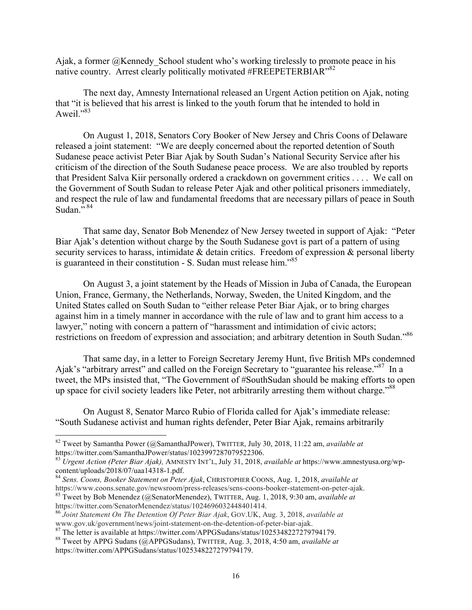Ajak, a former @Kennedy School student who's working tirelessly to promote peace in his native country. Arrest clearly politically motivated #FREEPETERBIAR"<sup>82</sup>

The next day, Amnesty International released an Urgent Action petition on Ajak, noting that "it is believed that his arrest is linked to the youth forum that he intended to hold in Aweil." $83$ 

On August 1, 2018, Senators Cory Booker of New Jersey and Chris Coons of Delaware released a joint statement: "We are deeply concerned about the reported detention of South Sudanese peace activist Peter Biar Ajak by South Sudan's National Security Service after his criticism of the direction of the South Sudanese peace process. We are also troubled by reports that President Salva Kiir personally ordered a crackdown on government critics . . . . We call on the Government of South Sudan to release Peter Ajak and other political prisoners immediately, and respect the rule of law and fundamental freedoms that are necessary pillars of peace in South Sudan. $^{7,84}$ 

That same day, Senator Bob Menendez of New Jersey tweeted in support of Ajak: "Peter Biar Ajak's detention without charge by the South Sudanese govt is part of a pattern of using security services to harass, intimidate  $\&$  detain critics. Freedom of expression  $\&$  personal liberty is guaranteed in their constitution - S. Sudan must release him."<sup>85</sup>

On August 3, a joint statement by the Heads of Mission in Juba of Canada, the European Union, France, Germany, the Netherlands, Norway, Sweden, the United Kingdom, and the United States called on South Sudan to "either release Peter Biar Ajak, or to bring charges against him in a timely manner in accordance with the rule of law and to grant him access to a lawyer," noting with concern a pattern of "harassment and intimidation of civic actors; restrictions on freedom of expression and association; and arbitrary detention in South Sudan."86

That same day, in a letter to Foreign Secretary Jeremy Hunt, five British MPs condemned Ajak's "arbitrary arrest" and called on the Foreign Secretary to "guarantee his release."87 In a tweet, the MPs insisted that, "The Government of #SouthSudan should be making efforts to open up space for civil society leaders like Peter, not arbitrarily arresting them without charge."<sup>88</sup>

On August 8, Senator Marco Rubio of Florida called for Ajak's immediate release: "South Sudanese activist and human rights defender, Peter Biar Ajak, remains arbitrarily

 <sup>82</sup> Tweet by Samantha Power (@SamanthaJPower), TWITTER, July 30, 2018, 11:22 am, *available at*  https://twitter.com/SamanthaJPower/status/1023997287079522306.

<sup>83</sup> *Urgent Action (Peter Biar Ajak),* AMNESTY INT'L, July 31, 2018, *available at* https://www.amnestyusa.org/wp-

<sup>&</sup>lt;sup>84</sup> Sens. Coons, Booker Statement on Peter Ajak, CHRISTOPHER COONS, Aug. 1, 2018, *available at* https://www.coons.senate.gov/newsroom/press-releases/sens-coons-booker-statement-on-peter-ajak. <sup>85</sup> Tweet by Bob Menendez (@SenatorMenendez), TWITTER, Aug. 1, 2018, 9:30 am, *available at* 

https://twitter.com/SenatorMenendez/status/1024696032448401414.

<sup>86</sup> *Joint Statement On The Detention Of Peter Biar Ajak*, GOV.UK, Aug. 3, 2018, *available at* www.gov.uk/government/news/joint-statement-on-the-detention-of-peter-biar-ajak.<br><sup>87</sup> The letter is available at https://twitter.com/APPGSudans/status/1025348227279794179.<br><sup>88</sup> Tweet by APPG Sudans (@APPGSudans), TWITTER, A

https://twitter.com/APPGSudans/status/1025348227279794179.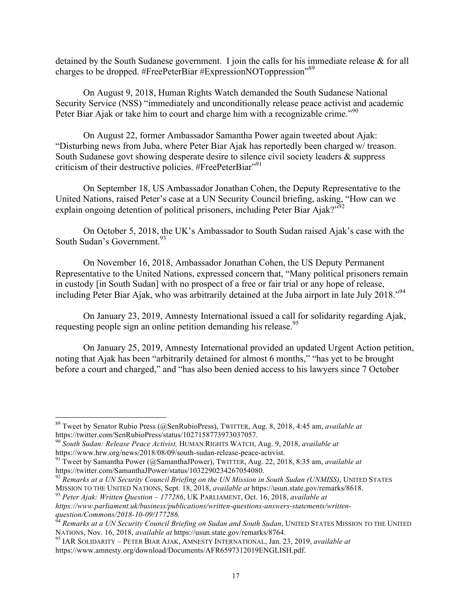detained by the South Sudanese government. I join the calls for his immediate release & for all charges to be dropped. #FreePeterBiar #ExpressionNOToppression"<sup>89</sup>

On August 9, 2018, Human Rights Watch demanded the South Sudanese National Security Service (NSS) "immediately and unconditionally release peace activist and academic Peter Biar Ajak or take him to court and charge him with a recognizable crime."<sup>90</sup>

On August 22, former Ambassador Samantha Power again tweeted about Ajak: "Disturbing news from Juba, where Peter Biar Ajak has reportedly been charged w/ treason. South Sudanese govt showing desperate desire to silence civil society leaders & suppress criticism of their destructive policies. #FreePeterBiar"<sup>91</sup>

On September 18, US Ambassador Jonathan Cohen, the Deputy Representative to the United Nations, raised Peter's case at a UN Security Council briefing, asking, "How can we explain ongoing detention of political prisoners, including Peter Biar Ajak?"<sup>92</sup>

On October 5, 2018, the UK's Ambassador to South Sudan raised Ajak's case with the South Sudan's Government.<sup>93</sup>

On November 16, 2018, Ambassador Jonathan Cohen, the US Deputy Permanent Representative to the United Nations, expressed concern that, "Many political prisoners remain in custody [in South Sudan] with no prospect of a free or fair trial or any hope of release, including Peter Biar Ajak, who was arbitrarily detained at the Juba airport in late July 2018."94

On January 23, 2019, Amnesty International issued a call for solidarity regarding Ajak, requesting people sign an online petition demanding his release.<sup>95</sup>

On January 25, 2019, Amnesty International provided an updated Urgent Action petition, noting that Ajak has been "arbitrarily detained for almost 6 months," "has yet to be brought before a court and charged," and "has also been denied access to his lawyers since 7 October

 <sup>89</sup> Tweet by Senator Rubio Press (@SenRubioPress), TWITTER, Aug. 8, 2018, 4:45 am, *available at* https://twitter.com/SenRubioPress/status/1027158773973037057.

<sup>90</sup> *South Sudan: Release Peace Activist,* HUMAN RIGHTS WATCH, Aug. 9, 2018, *available at*

<sup>&</sup>lt;sup>91</sup> Tweet by Samantha Power (@SamanthaJPower), TWITTER, Aug. 22, 2018, 8:35 am, *available at* https://twitter.com/SamanthaJPower/status/1032290234267054080.

<sup>&</sup>lt;sup>92</sup> Remarks at a UN Security Council Briefing on the UN Mission in South Sudan *(UNMISS)*, UNITED STATES MISSION TO THE UNITED NATIONS, Sept. 18, 2018, *available at* https://usun.state.gov/remarks/8618. <sup>93</sup> *Peter Ajak: Written Question – <sup>177286</sup>*, UK PARLIAMENT, Oct. 16, 2018, *available at* 

*https://www.parliament.uk/business/publications/written-questions-answers-statements/written-*

question/Commons/2018-10-09/177286.<br><sup>94</sup> *Remarks at a UN Security Council Briefing on Sudan and South Sudan*, UNITED STATES MISSION TO THE UNITED NATIONS, Nov. 16, 2018, *available at https://usun.state.gov/remarks/8764.* 

NATIONS, Nov. 16, 2018, *available at* https://usun.state.gov/remarks/8764. <sup>95</sup> IAR SOLIDARITY – PETER BIAR AJAK, AMNESTY INTERNATIONAL, Jan. 23, 2019, *available at* https://www.amnesty.org/download/Documents/AFR6597312019ENGLISH.pdf.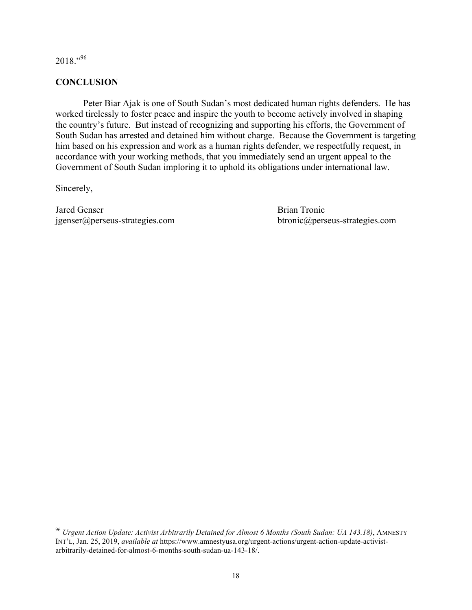2018."<sup>96</sup>

### **CONCLUSION**

Peter Biar Ajak is one of South Sudan's most dedicated human rights defenders. He has worked tirelessly to foster peace and inspire the youth to become actively involved in shaping the country's future. But instead of recognizing and supporting his efforts, the Government of South Sudan has arrested and detained him without charge. Because the Government is targeting him based on his expression and work as a human rights defender, we respectfully request, in accordance with your working methods, that you immediately send an urgent appeal to the Government of South Sudan imploring it to uphold its obligations under international law.

Sincerely,

Jared Genser Brian Tronic jgenser@perseus-strategies.com btronic@perseus-strategies.com

 <sup>96</sup> *Urgent Action Update: Activist Arbitrarily Detained for Almost 6 Months (South Sudan: UA 143.18)*, AMNESTY INT'L, Jan. 25, 2019, *available at* https://www.amnestyusa.org/urgent-actions/urgent-action-update-activistarbitrarily-detained-for-almost-6-months-south-sudan-ua-143-18/.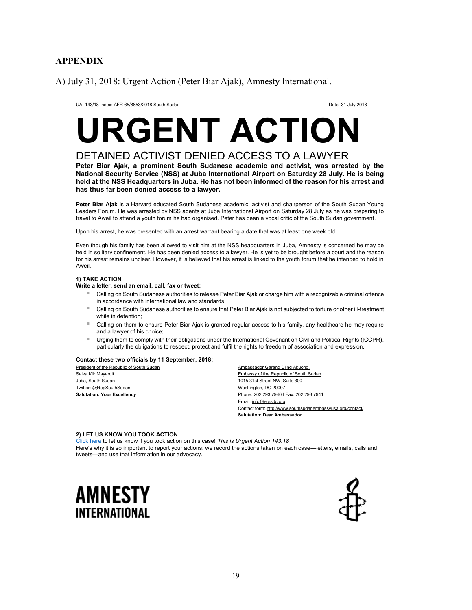## **APPENDIX**

A) July 31, 2018: Urgent Action (Peter Biar Ajak), Amnesty International.

UA: 143/18 Index: AFR 65/8853/2018 South Sudan Date: 31 July 2018

# **URGENT ACTION**

# DETAINED ACTIVIST DENIED ACCESS TO A LAWYER

**Peter Biar Ajak, a prominent South Sudanese academic and activist, was arrested by the National Security Service (NSS) at Juba International Airport on Saturday 28 July. He is being held at the NSS Headquarters in Juba. He has not been informed of the reason for his arrest and has thus far been denied access to a lawyer.**

**Peter Biar Ajak** is a Harvard educated South Sudanese academic, activist and chairperson of the South Sudan Young Leaders Forum. He was arrested by NSS agents at Juba International Airport on Saturday 28 July as he was preparing to travel to Aweil to attend a youth forum he had organised. Peter has been a vocal critic of the South Sudan government.

Upon his arrest, he was presented with an arrest warrant bearing a date that was at least one week old.

Even though his family has been allowed to visit him at the NSS headquarters in Juba, Amnesty is concerned he may be held in solitary confinement. He has been denied access to a lawyer. He is yet to be brought before a court and the reason for his arrest remains unclear. However, it is believed that his arrest is linked to the youth forum that he intended to hold in Aweil.

#### **1) TAKE ACTION**

#### **Write a letter, send an email, call, fax or tweet:**

- Calling on South Sudanese authorities to release Peter Biar Ajak or charge him with a recognizable criminal offence in accordance with international law and standards;
- **E** Calling on South Sudanese authorities to ensure that Peter Biar Ajak is not subjected to torture or other ill-treatment while in detention;
- Calling on them to ensure Peter Biar Ajak is granted regular access to his family, any healthcare he may require and a lawyer of his choice;
- Urging them to comply with their obligations under the International Covenant on Civil and Political Rights (ICCPR), particularly the obligations to respect, protect and fulfil the rights to freedom of association and expression.

#### **Contact these two officials by 11 September, 2018:**

President of the Republic of South Sudan Salva Kiir Mayardit Juba, South Sudan Twitter: @RepSouthSudan **Salutation: Your Excellency**

Ambassador Garang Diing Akuong, Embassy of the Republic of South Sudan 1015 31st Street NW, Suite 300 Washington, DC 20007 Phone: 202 293 7940 I Fax: 202 293 7941 Email: info@erssdc.org Contact form: http://www.southsudanembassyusa.org/contact/ **Salutation: Dear Ambassador**

#### **2) LET US KNOW YOU TOOK ACTION**

Click here to let us know if you took action on this case! *This is Urgent Action 143.18* Here's why it is so important to report your actions: we record the actions taken on each case—letters, emails, calls and tweets—and use that information in our advocacy.



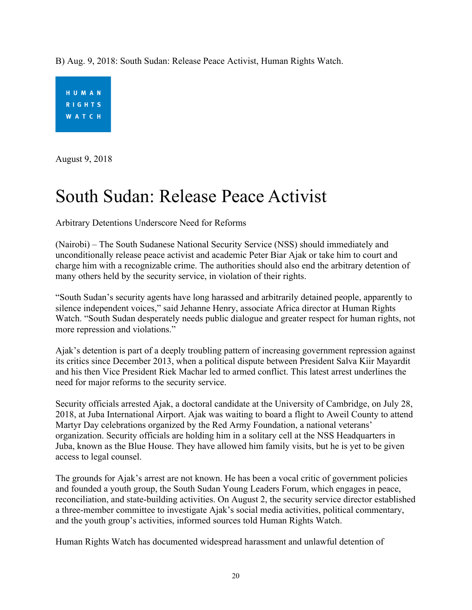B) Aug. 9, 2018: South Sudan: Release Peace Activist, Human Rights Watch.



August 9, 2018

# South Sudan: Release Peace Activist

Arbitrary Detentions Underscore Need for Reforms

(Nairobi) – The South Sudanese National Security Service (NSS) should immediately and unconditionally release peace activist and academic Peter Biar Ajak or take him to court and charge him with a recognizable crime. The authorities should also end the arbitrary detention of many others held by the security service, in violation of their rights.

"South Sudan's security agents have long harassed and arbitrarily detained people, apparently to silence independent voices," said Jehanne Henry, associate Africa director at Human Rights Watch. "South Sudan desperately needs public dialogue and greater respect for human rights, not more repression and violations."

Ajak's detention is part of a deeply troubling pattern of increasing government repression against its critics since December 2013, when a political dispute between President Salva Kiir Mayardit and his then Vice President Riek Machar led to armed conflict. This latest arrest underlines the need for major reforms to the security service.

Security officials arrested Ajak, a doctoral candidate at the University of Cambridge, on July 28, 2018, at Juba International Airport. Ajak was waiting to board a flight to Aweil County to attend Martyr Day celebrations organized by the Red Army Foundation, a national veterans' organization. Security officials are holding him in a solitary cell at the NSS Headquarters in Juba, known as the Blue House. They have allowed him family visits, but he is yet to be given access to legal counsel.

The grounds for Ajak's arrest are not known. He has been a vocal critic of government policies and founded a youth group, the South Sudan Young Leaders Forum, which engages in peace, reconciliation, and state-building activities. On August 2, the security service director established a three-member committee to investigate Ajak's social media activities, political commentary, and the youth group's activities, informed sources told Human Rights Watch.

Human Rights Watch has documented widespread harassment and unlawful detention of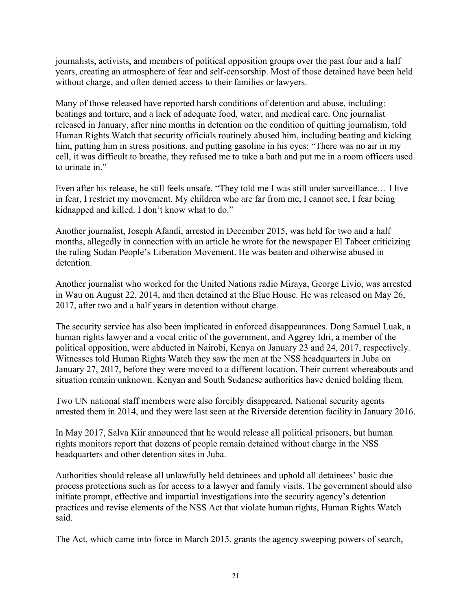journalists, activists, and members of political opposition groups over the past four and a half years, creating an atmosphere of fear and self-censorship. Most of those detained have been held without charge, and often denied access to their families or lawyers.

Many of those released have reported harsh conditions of detention and abuse, including: beatings and torture, and a lack of adequate food, water, and medical care. One journalist released in January, after nine months in detention on the condition of quitting journalism, told Human Rights Watch that security officials routinely abused him, including beating and kicking him, putting him in stress positions, and putting gasoline in his eyes: "There was no air in my cell, it was difficult to breathe, they refused me to take a bath and put me in a room officers used to urinate in."

Even after his release, he still feels unsafe. "They told me I was still under surveillance… I live in fear, I restrict my movement. My children who are far from me, I cannot see, I fear being kidnapped and killed. I don't know what to do."

Another journalist, Joseph Afandi, arrested in December 2015, was held for two and a half months, allegedly in connection with an article he wrote for the newspaper El Tabeer criticizing the ruling Sudan People's Liberation Movement. He was beaten and otherwise abused in detention.

Another journalist who worked for the United Nations radio Miraya, George Livio, was arrested in Wau on August 22, 2014, and then detained at the Blue House. He was released on May 26, 2017, after two and a half years in detention without charge.

The security service has also been implicated in enforced disappearances. Dong Samuel Luak, a human rights lawyer and a vocal critic of the government, and Aggrey Idri, a member of the political opposition, were abducted in Nairobi, Kenya on January 23 and 24, 2017, respectively. Witnesses told Human Rights Watch they saw the men at the NSS headquarters in Juba on January 27, 2017, before they were moved to a different location. Their current whereabouts and situation remain unknown. Kenyan and South Sudanese authorities have denied holding them.

Two UN national staff members were also forcibly disappeared. National security agents arrested them in 2014, and they were last seen at the Riverside detention facility in January 2016.

In May 2017, Salva Kiir announced that he would release all political prisoners, but human rights monitors report that dozens of people remain detained without charge in the NSS headquarters and other detention sites in Juba.

Authorities should release all unlawfully held detainees and uphold all detainees' basic due process protections such as for access to a lawyer and family visits. The government should also initiate prompt, effective and impartial investigations into the security agency's detention practices and revise elements of the NSS Act that violate human rights, Human Rights Watch said.

The Act, which came into force in March 2015, grants the agency sweeping powers of search,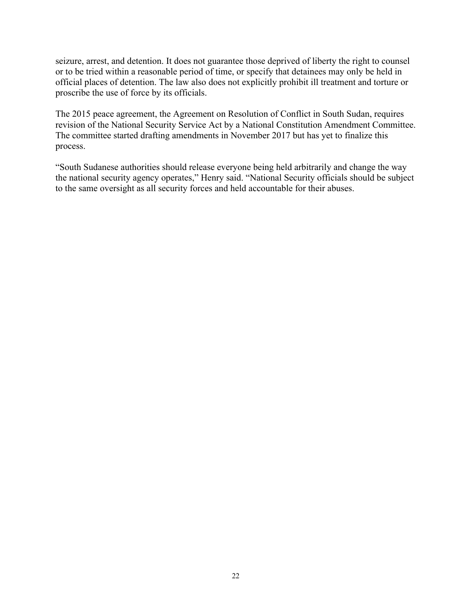seizure, arrest, and detention. It does not guarantee those deprived of liberty the right to counsel or to be tried within a reasonable period of time, or specify that detainees may only be held in official places of detention. The law also does not explicitly prohibit ill treatment and torture or proscribe the use of force by its officials.

The 2015 peace agreement, the Agreement on Resolution of Conflict in South Sudan, requires revision of the National Security Service Act by a National Constitution Amendment Committee. The committee started drafting amendments in November 2017 but has yet to finalize this process.

"South Sudanese authorities should release everyone being held arbitrarily and change the way the national security agency operates," Henry said. "National Security officials should be subject to the same oversight as all security forces and held accountable for their abuses.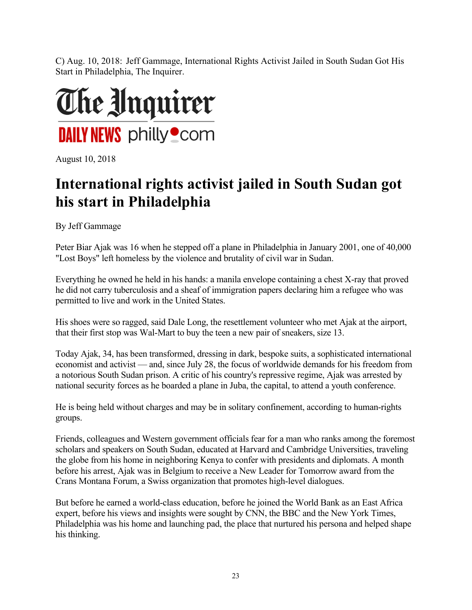C) Aug. 10, 2018: Jeff Gammage, International Rights Activist Jailed in South Sudan Got His Start in Philadelphia, The Inquirer.



August 10, 2018

# **International rights activist jailed in South Sudan got his start in Philadelphia**

By Jeff Gammage

Peter Biar Ajak was 16 when he stepped off a plane in Philadelphia in January 2001, one of 40,000 "Lost Boys" left homeless by the violence and brutality of civil war in Sudan.

Everything he owned he held in his hands: a manila envelope containing a chest X-ray that proved he did not carry tuberculosis and a sheaf of immigration papers declaring him a refugee who was permitted to live and work in the United States.

His shoes were so ragged, said Dale Long, the resettlement volunteer who met Ajak at the airport, that their first stop was Wal-Mart to buy the teen a new pair of sneakers, size 13.

Today Ajak, 34, has been transformed, dressing in dark, bespoke suits, a sophisticated international economist and activist — and, since July 28, the focus of worldwide demands for his freedom from a notorious South Sudan prison. A critic of his country's repressive regime, Ajak was arrested by national security forces as he boarded a plane in Juba, the capital, to attend a youth conference.

He is being held without charges and may be in solitary confinement, according to human-rights groups.

Friends, colleagues and Western government officials fear for a man who ranks among the foremost scholars and speakers on South Sudan, educated at Harvard and Cambridge Universities, traveling the globe from his home in neighboring Kenya to confer with presidents and diplomats. A month before his arrest, Ajak was in Belgium to receive a New Leader for Tomorrow award from the Crans Montana Forum, a Swiss organization that promotes high-level dialogues.

But before he earned a world-class education, before he joined the World Bank as an East Africa expert, before his views and insights were sought by CNN, the BBC and the New York Times, Philadelphia was his home and launching pad, the place that nurtured his persona and helped shape his thinking.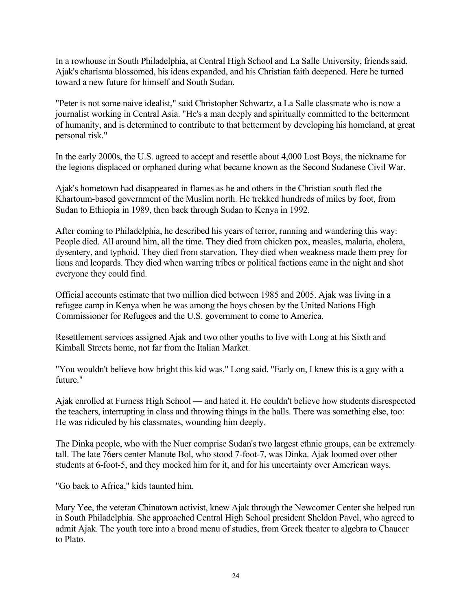In a rowhouse in South Philadelphia, at Central High School and La Salle University, friends said, Ajak's charisma blossomed, his ideas expanded, and his Christian faith deepened. Here he turned toward a new future for himself and South Sudan.

"Peter is not some naive idealist," said Christopher Schwartz, a La Salle classmate who is now a journalist working in Central Asia. "He's a man deeply and spiritually committed to the betterment of humanity, and is determined to contribute to that betterment by developing his homeland, at great personal risk."

In the early 2000s, the U.S. agreed to accept and resettle about 4,000 Lost Boys, the nickname for the legions displaced or orphaned during what became known as the Second Sudanese Civil War.

Ajak's hometown had disappeared in flames as he and others in the Christian south fled the Khartoum-based government of the Muslim north. He trekked hundreds of miles by foot, from Sudan to Ethiopia in 1989, then back through Sudan to Kenya in 1992.

After coming to Philadelphia, he described his years of terror, running and wandering this way: People died. All around him, all the time. They died from chicken pox, measles, malaria, cholera, dysentery, and typhoid. They died from starvation. They died when weakness made them prey for lions and leopards. They died when warring tribes or political factions came in the night and shot everyone they could find.

Official accounts estimate that two million died between 1985 and 2005. Ajak was living in a refugee camp in Kenya when he was among the boys chosen by the United Nations High Commissioner for Refugees and the U.S. government to come to America.

Resettlement services assigned Ajak and two other youths to live with Long at his Sixth and Kimball Streets home, not far from the Italian Market.

"You wouldn't believe how bright this kid was," Long said. "Early on, I knew this is a guy with a future."

Ajak enrolled at Furness High School — and hated it. He couldn't believe how students disrespected the teachers, interrupting in class and throwing things in the halls. There was something else, too: He was ridiculed by his classmates, wounding him deeply.

The Dinka people, who with the Nuer comprise Sudan's two largest ethnic groups, can be extremely tall. The late 76ers center Manute Bol, who stood 7-foot-7, was Dinka. Ajak loomed over other students at 6-foot-5, and they mocked him for it, and for his uncertainty over American ways.

"Go back to Africa," kids taunted him.

Mary Yee, the veteran Chinatown activist, knew Ajak through the Newcomer Center she helped run in South Philadelphia. She approached Central High School president Sheldon Pavel, who agreed to admit Ajak. The youth tore into a broad menu of studies, from Greek theater to algebra to Chaucer to Plato.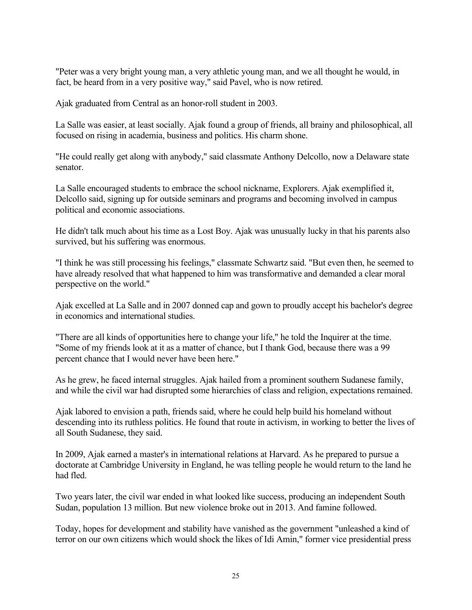"Peter was a very bright young man, a very athletic young man, and we all thought he would, in fact, be heard from in a very positive way," said Pavel, who is now retired.

Ajak graduated from Central as an honor-roll student in 2003.

La Salle was easier, at least socially. Ajak found a group of friends, all brainy and philosophical, all focused on rising in academia, business and politics. His charm shone.

"He could really get along with anybody," said classmate Anthony Delcollo, now a Delaware state senator.

La Salle encouraged students to embrace the school nickname, Explorers. Ajak exemplified it, Delcollo said, signing up for outside seminars and programs and becoming involved in campus political and economic associations.

He didn't talk much about his time as a Lost Boy. Ajak was unusually lucky in that his parents also survived, but his suffering was enormous.

"I think he was still processing his feelings," classmate Schwartz said. "But even then, he seemed to have already resolved that what happened to him was transformative and demanded a clear moral perspective on the world."

Ajak excelled at La Salle and in 2007 donned cap and gown to proudly accept his bachelor's degree in economics and international studies.

"There are all kinds of opportunities here to change your life," he told the Inquirer at the time. "Some of my friends look at it as a matter of chance, but I thank God, because there was a 99 percent chance that I would never have been here."

As he grew, he faced internal struggles. Ajak hailed from a prominent southern Sudanese family, and while the civil war had disrupted some hierarchies of class and religion, expectations remained.

Ajak labored to envision a path, friends said, where he could help build his homeland without descending into its ruthless politics. He found that route in activism, in working to better the lives of all South Sudanese, they said.

In 2009, Ajak earned a master's in international relations at Harvard. As he prepared to pursue a doctorate at Cambridge University in England, he was telling people he would return to the land he had fled.

Two years later, the civil war ended in what looked like success, producing an independent South Sudan, population 13 million. But new violence broke out in 2013. And famine followed.

Today, hopes for development and stability have vanished as the government "unleashed a kind of terror on our own citizens which would shock the likes of Idi Amin," former vice presidential press